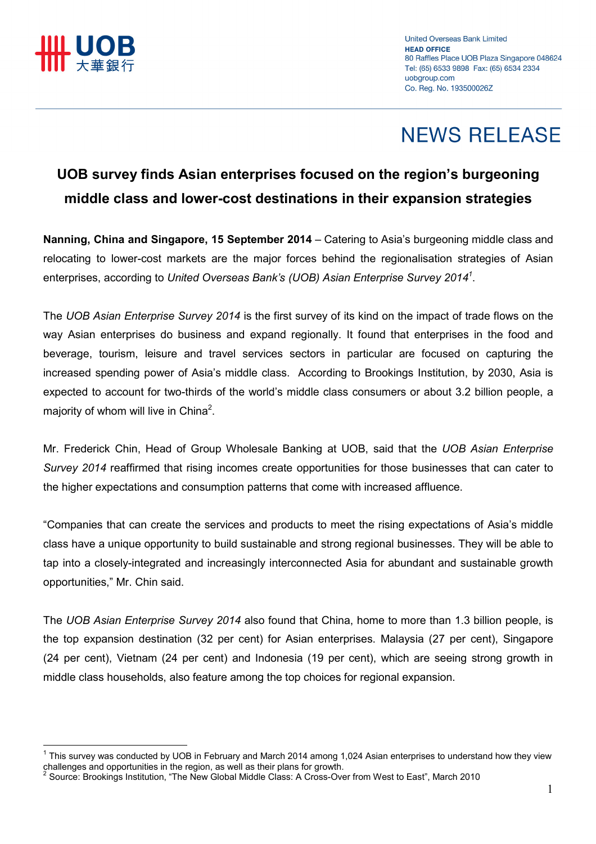

l.

# **NEWS RELEASE**

### UOB survey finds Asian enterprises focused on the region's burgeoning middle class and lower-cost destinations in their expansion strategies

Nanning, China and Singapore, 15 September 2014 – Catering to Asia's burgeoning middle class and relocating to lower-cost markets are the major forces behind the regionalisation strategies of Asian enterprises, according to United Overseas Bank's (UOB) Asian Enterprise Survey 2014<sup>1</sup>.

The UOB Asian Enterprise Survey 2014 is the first survey of its kind on the impact of trade flows on the way Asian enterprises do business and expand regionally. It found that enterprises in the food and beverage, tourism, leisure and travel services sectors in particular are focused on capturing the increased spending power of Asia's middle class. According to Brookings Institution, by 2030, Asia is expected to account for two-thirds of the world's middle class consumers or about 3.2 billion people, a majority of whom will live in China<sup>2</sup>.

Mr. Frederick Chin, Head of Group Wholesale Banking at UOB, said that the UOB Asian Enterprise Survey 2014 reaffirmed that rising incomes create opportunities for those businesses that can cater to the higher expectations and consumption patterns that come with increased affluence.

"Companies that can create the services and products to meet the rising expectations of Asia's middle class have a unique opportunity to build sustainable and strong regional businesses. They will be able to tap into a closely-integrated and increasingly interconnected Asia for abundant and sustainable growth opportunities," Mr. Chin said.

The UOB Asian Enterprise Survey 2014 also found that China, home to more than 1.3 billion people, is the top expansion destination (32 per cent) for Asian enterprises. Malaysia (27 per cent), Singapore (24 per cent), Vietnam (24 per cent) and Indonesia (19 per cent), which are seeing strong growth in middle class households, also feature among the top choices for regional expansion.

<sup>&</sup>lt;sup>1</sup> This survey was conducted by UOB in February and March 2014 among 1,024 Asian enterprises to understand how they view challenges and opportunities in the region, as well as their plans for growth.<br><sup>2</sup> Source: Prockings Institution. "The Now Clobal Middle Close: A Crose Ove

Source: Brookings Institution, "The New Global Middle Class: A Cross-Over from West to East", March 2010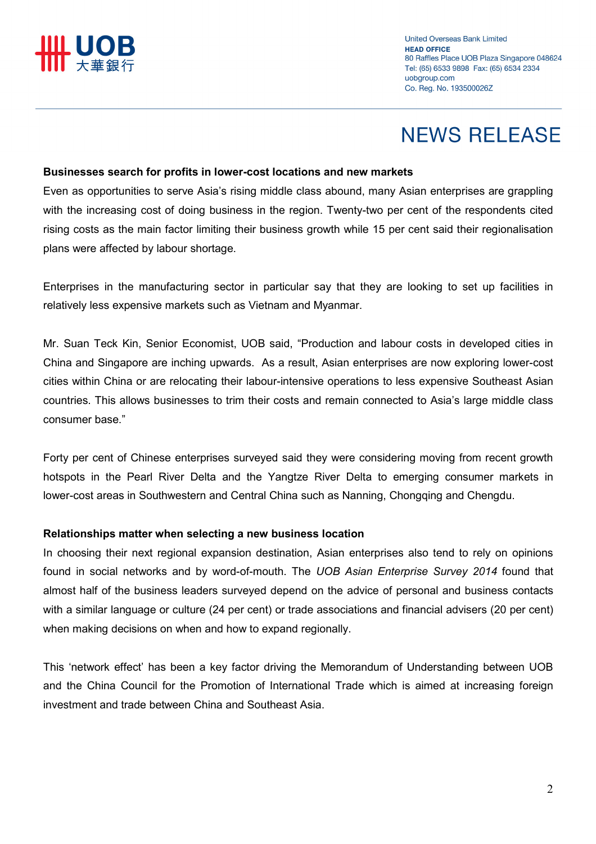**United Overseas Bank Limited HEAD OFFICE** 80 Raffles Place UOB Plaza Singapore 048624 Tel: (65) 6533 9898 Fax: (65) 6534 2334 uobgroup.com Co. Rea. No. 193500026Z

# **NEWS RELEASE**

#### Businesses search for profits in lower-cost locations and new markets

Even as opportunities to serve Asia's rising middle class abound, many Asian enterprises are grappling with the increasing cost of doing business in the region. Twenty-two per cent of the respondents cited rising costs as the main factor limiting their business growth while 15 per cent said their regionalisation plans were affected by labour shortage.

Enterprises in the manufacturing sector in particular say that they are looking to set up facilities in relatively less expensive markets such as Vietnam and Myanmar.

Mr. Suan Teck Kin, Senior Economist, UOB said, "Production and labour costs in developed cities in China and Singapore are inching upwards. As a result, Asian enterprises are now exploring lower-cost cities within China or are relocating their labour-intensive operations to less expensive Southeast Asian countries. This allows businesses to trim their costs and remain connected to Asia's large middle class consumer base."

Forty per cent of Chinese enterprises surveyed said they were considering moving from recent growth hotspots in the Pearl River Delta and the Yangtze River Delta to emerging consumer markets in lower-cost areas in Southwestern and Central China such as Nanning, Chongqing and Chengdu.

### Relationships matter when selecting a new business location

In choosing their next regional expansion destination, Asian enterprises also tend to rely on opinions found in social networks and by word-of-mouth. The UOB Asian Enterprise Survey 2014 found that almost half of the business leaders surveyed depend on the advice of personal and business contacts with a similar language or culture (24 per cent) or trade associations and financial advisers (20 per cent) when making decisions on when and how to expand regionally.

This 'network effect' has been a key factor driving the Memorandum of Understanding between UOB and the China Council for the Promotion of International Trade which is aimed at increasing foreign investment and trade between China and Southeast Asia.